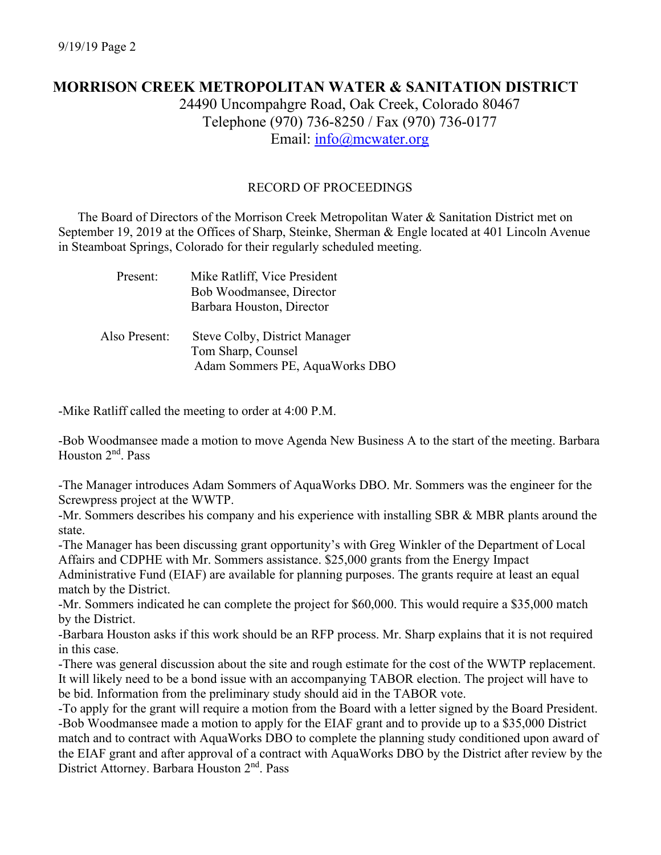# **MORRISON CREEK METROPOLITAN WATER & SANITATION DISTRICT**

24490 Uncompahgre Road, Oak Creek, Colorado 80467 Telephone (970) 736-8250 / Fax (970) 736-0177 Email: [info@mcwater.org](mailto:info@mcwater.org)

### RECORD OF PROCEEDINGS

 The Board of Directors of the Morrison Creek Metropolitan Water & Sanitation District met on September 19, 2019 at the Offices of Sharp, Steinke, Sherman & Engle located at 401 Lincoln Avenue in Steamboat Springs, Colorado for their regularly scheduled meeting.

| Present:      | Mike Ratliff, Vice President<br>Bob Woodmansee, Director<br>Barbara Houston, Director |
|---------------|---------------------------------------------------------------------------------------|
| Also Present: | Steve Colby, District Manager<br>Tom Sharp, Counsel<br>Adam Sommers PE, AquaWorks DBO |

-Mike Ratliff called the meeting to order at 4:00 P.M.

-Bob Woodmansee made a motion to move Agenda New Business A to the start of the meeting. Barbara Houston 2<sup>nd</sup>. Pass

-The Manager introduces Adam Sommers of AquaWorks DBO. Mr. Sommers was the engineer for the Screwpress project at the WWTP.

-Mr. Sommers describes his company and his experience with installing SBR & MBR plants around the state.

-The Manager has been discussing grant opportunity's with Greg Winkler of the Department of Local Affairs and CDPHE with Mr. Sommers assistance. \$25,000 grants from the Energy Impact

Administrative Fund (EIAF) are available for planning purposes. The grants require at least an equal match by the District.

-Mr. Sommers indicated he can complete the project for \$60,000. This would require a \$35,000 match by the District.

-Barbara Houston asks if this work should be an RFP process. Mr. Sharp explains that it is not required in this case.

-There was general discussion about the site and rough estimate for the cost of the WWTP replacement. It will likely need to be a bond issue with an accompanying TABOR election. The project will have to be bid. Information from the preliminary study should aid in the TABOR vote.

-To apply for the grant will require a motion from the Board with a letter signed by the Board President. -Bob Woodmansee made a motion to apply for the EIAF grant and to provide up to a \$35,000 District match and to contract with AquaWorks DBO to complete the planning study conditioned upon award of the EIAF grant and after approval of a contract with AquaWorks DBO by the District after review by the District Attorney. Barbara Houston 2<sup>nd</sup>. Pass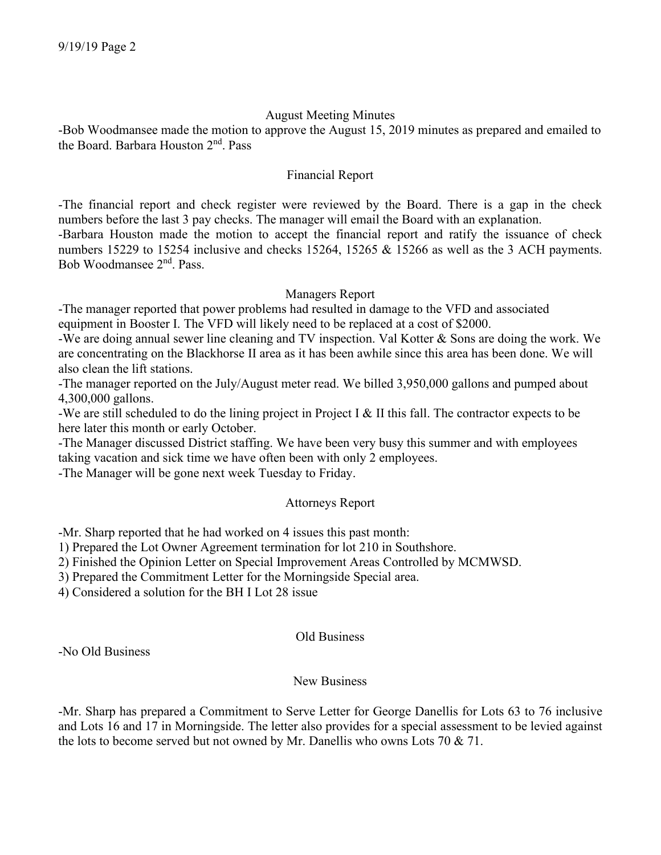### August Meeting Minutes

-Bob Woodmansee made the motion to approve the August 15, 2019 minutes as prepared and emailed to the Board. Barbara Houston 2nd. Pass

### Financial Report

-The financial report and check register were reviewed by the Board. There is a gap in the check numbers before the last 3 pay checks. The manager will email the Board with an explanation.

-Barbara Houston made the motion to accept the financial report and ratify the issuance of check numbers 15229 to 15254 inclusive and checks 15264, 15265 & 15266 as well as the 3 ACH payments. Bob Woodmansee 2nd. Pass.

## Managers Report

-The manager reported that power problems had resulted in damage to the VFD and associated equipment in Booster I. The VFD will likely need to be replaced at a cost of \$2000.

-We are doing annual sewer line cleaning and TV inspection. Val Kotter & Sons are doing the work. We are concentrating on the Blackhorse II area as it has been awhile since this area has been done. We will also clean the lift stations.

-The manager reported on the July/August meter read. We billed 3,950,000 gallons and pumped about 4,300,000 gallons.

-We are still scheduled to do the lining project in Project I & II this fall. The contractor expects to be here later this month or early October.

-The Manager discussed District staffing. We have been very busy this summer and with employees taking vacation and sick time we have often been with only 2 employees.

-The Manager will be gone next week Tuesday to Friday.

## Attorneys Report

-Mr. Sharp reported that he had worked on 4 issues this past month:

1) Prepared the Lot Owner Agreement termination for lot 210 in Southshore.

2) Finished the Opinion Letter on Special Improvement Areas Controlled by MCMWSD.

3) Prepared the Commitment Letter for the Morningside Special area.

4) Considered a solution for the BH I Lot 28 issue

#### Old Business

-No Old Business

## New Business

-Mr. Sharp has prepared a Commitment to Serve Letter for George Danellis for Lots 63 to 76 inclusive and Lots 16 and 17 in Morningside. The letter also provides for a special assessment to be levied against the lots to become served but not owned by Mr. Danellis who owns Lots 70 & 71.